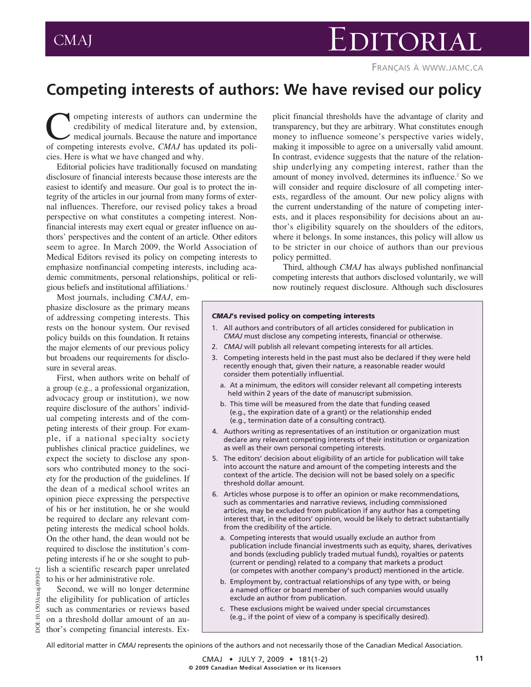## CMAJ EDITORIAL

FRANÇAIS À WWW.JAMC.CA

## **Competing interests of authors: We have revised our policy**

**Competing interests of authors can undermine the**<br>credibility of medical literature and, by extension,<br>medical journals. Because the nature and importance<br>of competing interests evolve *CMAI* has undated its policredibility of medical literature and, by extension, medical journals. Because the nature and importance of competing interests evolve, *CMAJ* has updated its policies. Here is what we have changed and why.

Editorial policies have traditionally focused on mandating disclosure of financial interests because those interests are the easiest to identify and measure. Our goal is to protect the integrity of the articles in our journal from many forms of external influences. Therefore, our revised policy takes a broad perspective on what constitutes a competing interest. Non financial interests may exert equal or greater influence on authors' perspectives and the content of an article. Other editors seem to agree. In March 2009, the World Association of Medical Editors revised its policy on competing interests to emphasize nonfinancial competing interests, including academic commitments, personal relationships, political or religious beliefs and institutional affiliations.1

Most journals, including *CMAJ*, emphasize disclosure as the primary means of addressing competing interests. This rests on the honour system. Our revised policy builds on this foundation. It retains the major elements of our previous policy but broadens our requirements for disclosure in several areas.

First, when authors write on behalf of a group (e.g., a professional organization, advocacy group or institution), we now require disclosure of the authors' individual competing interests and of the competing interests of their group. For example, if a national specialty society publishes clinical practice guidelines, we expect the society to disclose any sponsors who contributed money to the society for the production of the guidelines. If the dean of a medical school writes an opinion piece expressing the perspective of his or her institution, he or she would be required to declare any relevant competing interests the medical school holds. On the other hand, the dean would not be required to disclose the institution's competing interests if he or she sought to publish a scientific research paper unrelated to his or her administrative role.

Second, we will no longer determine the eligibility for publication of articles such as commentaries or reviews based on a threshold dollar amount of an author's competing financial interests. Ex-

DOI:10.1503/cmaj.091042

ΣÓ

10.1503/cmaj.091042

plicit financial thresholds have the advantage of clarity and transparency, but they are arbitrary. What constitutes enough money to influence someone's perspective varies widely, making it impossible to agree on a universally valid amount. In contrast, evidence suggests that the nature of the relationship underlying any competing interest, rather than the amount of money involved, determines its influence.<sup>2</sup> So we will consider and require disclosure of all competing interests, regardless of the amount. Our new policy aligns with the current understanding of the nature of competing interests, and it places responsibility for decisions about an author's eligibility squarely on the shoulders of the editors, where it belongs. In some instances, this policy will allow us to be stricter in our choice of authors than our previous policy permitted.

Third, although *CMAJ* has always published nonfinancial competing interests that authors disclosed voluntarily, we will now routinely request disclosure. Although such disclosures

## *CMAJ***'s revised policy on competing interests**

- 1. All authors and contributors of all articles considered for publication in *CMAJ* must disclose any competing interests, financial or otherwise.
- 2. *CMAJ* will publish all relevant competing interests for all articles.
- 3. Competing interests held in the past must also be declared if they were held recently enough that, given their nature, a reasonable reader would consider them potentially influential.
	- a. At a minimum, the editors will consider relevant all competing interests held within 2 years of the date of manuscript submission.
	- b. This time will be measured from the date that funding ceased (e.g., the expiration date of a grant) or the relationship ended (e.g., termination date of a consulting contract).
- 4. Authors writing as representatives of an institution or organization must declare any relevant competing interests of their institution or organization as well as their own personal competing interests.
- 5. The editors' decision about eligibility of an article for publication will take into account the nature and amount of the competing interests and the context of the article. The decision will not be based solely on a specific threshold dollar amount.
- 6. Articles whose purpose is to offer an opinion or make recommendations, such as commentaries and narrative reviews, including commissioned articles, may be excluded from publication if any author has a competing interest that, in the editors' opinion, would be likely to detract substantially from the credibility of the article.
	- a. Competing interests that would usually exclude an author from publication include financial investments such as equity, shares, derivatives and bonds (excluding publicly traded mutual funds), royalties or patents (current or pending) related to a company that markets a product (or competes with another company's product) mentioned in the article.
	- b. Employment by, contractual relationships of any type with, or being a named officer or board member of such companies would usually exclude an author from publication.
	- c. These exclusions might be waived under special circumstances (e.g., if the point of view of a company is specifically desired).

All editorial matter in *CMAJ* represents the opinions of the authors and not necessarily those of the Canadian Medical Association.

CMAJ • JULY 7, 2009 • 181(1-2) **© 2009 Canadian Medical Association or its licensors**